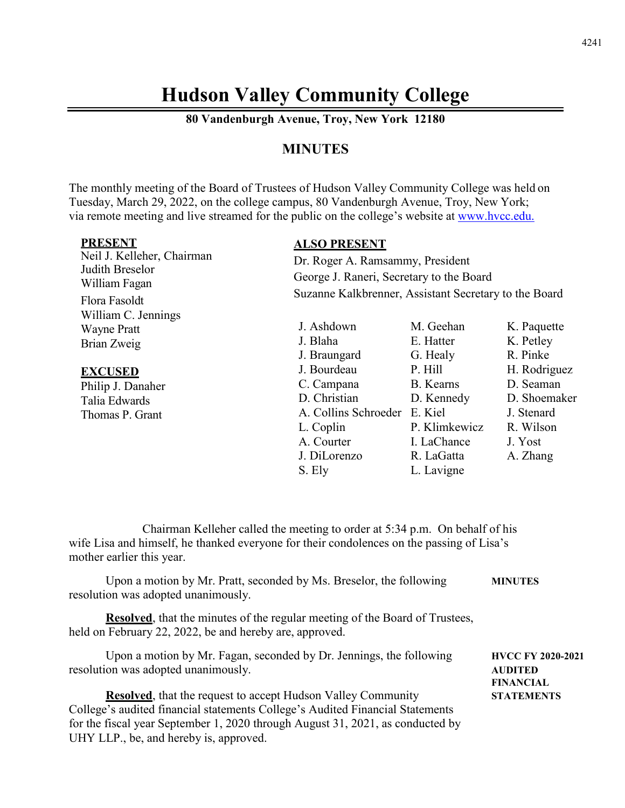# **Hudson Valley Community College**

**80 Vandenburgh Avenue, Troy, New York 12180**

# **MINUTES**

The monthly meeting of the Board of Trustees of Hudson Valley Community College was held on Tuesday, March 29, 2022, on the college campus, 80 Vandenburgh Avenue, Troy, New York; via remote meeting and live streamed for the public on the college's website at [www.hvcc.edu.](http://www.hvcc.edu/)

| <b>PRESENT</b><br>Neil J. Kelleher, Chairman<br>Judith Breselor | <b>ALSO PRESENT</b><br>Dr. Roger A. Ramsammy, President<br>George J. Raneri, Secretary to the Board<br>Suzanne Kalkbrenner, Assistant Secretary to the Board |                                            |                                                         |
|-----------------------------------------------------------------|--------------------------------------------------------------------------------------------------------------------------------------------------------------|--------------------------------------------|---------------------------------------------------------|
| William Fagan<br>Flora Fasoldt                                  |                                                                                                                                                              |                                            |                                                         |
| William C. Jennings<br><b>Wayne Pratt</b><br>Brian Zweig        | J. Ashdown<br>J. Blaha<br>J. Braungard                                                                                                                       | M. Geehan<br>E. Hatter<br>G. Healy         | K. Paquette<br>K. Petley<br>R. Pinke                    |
| <b>EXCUSED</b><br>Philip J. Danaher<br>Talia Edwards            | J. Bourdeau<br>C. Campana<br>D. Christian<br>A. Collins Schroeder E. Kiel                                                                                    | P. Hill<br>B. Kearns<br>D. Kennedy         | H. Rodriguez<br>D. Seaman<br>D. Shoemaker<br>J. Stenard |
| Thomas P. Grant                                                 | L. Coplin<br>A. Courter<br>J. DiLorenzo                                                                                                                      | P. Klimkewicz<br>I. LaChance<br>R. LaGatta | R. Wilson<br>J. Yost<br>A. Zhang                        |

S. Ely L. Lavigne

Chairman Kelleher called the meeting to order at 5:34 p.m. On behalf of his wife Lisa and himself, he thanked everyone for their condolences on the passing of Lisa's mother earlier this year.

| Upon a motion by Mr. Pratt, seconded by Ms. Breselor, the following<br>resolution was adopted unanimously.                                                                                                                                                                        | <b>MINUTES</b>                                                 |
|-----------------------------------------------------------------------------------------------------------------------------------------------------------------------------------------------------------------------------------------------------------------------------------|----------------------------------------------------------------|
| <b>Resolved</b> , that the minutes of the regular meeting of the Board of Trustees,<br>held on February 22, 2022, be and hereby are, approved.                                                                                                                                    |                                                                |
| Upon a motion by Mr. Fagan, seconded by Dr. Jennings, the following<br>resolution was adopted unanimously.                                                                                                                                                                        | <b>HVCC FY 2020-2021</b><br><b>AUDITED</b><br><b>FINANCIAL</b> |
| <b>Resolved</b> , that the request to accept Hudson Valley Community<br>College's audited financial statements College's Audited Financial Statements<br>for the fiscal year September 1, 2020 through August 31, 2021, as conducted by<br>UHY LLP., be, and hereby is, approved. | <b>STATEMENTS</b>                                              |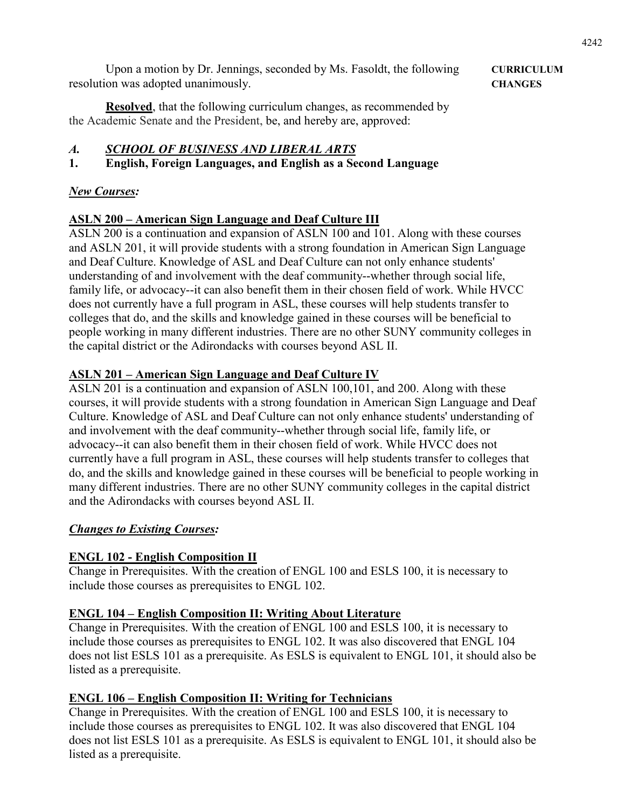Upon a motion by Dr. Jennings, seconded by Ms. Fasoldt, the following **CURRICULUM** resolution was adopted unanimously. **CHANGES**

**Resolved**, that the following curriculum changes, as recommended by the Academic Senate and the President, be, and hereby are, approved:

# *A. SCHOOL OF BUSINESS AND LIBERAL ARTS*

**1. English, Foreign Languages, and English as a Second Language**

#### *New Courses:*

# **ASLN 200 – American Sign Language and Deaf Culture III**

ASLN 200 is a continuation and expansion of ASLN 100 and 101. Along with these courses and ASLN 201, it will provide students with a strong foundation in American Sign Language and Deaf Culture. Knowledge of ASL and Deaf Culture can not only enhance students' understanding of and involvement with the deaf community--whether through social life, family life, or advocacy--it can also benefit them in their chosen field of work. While HVCC does not currently have a full program in ASL, these courses will help students transfer to colleges that do, and the skills and knowledge gained in these courses will be beneficial to people working in many different industries. There are no other SUNY community colleges in the capital district or the Adirondacks with courses beyond ASL II.

### **ASLN 201 – American Sign Language and Deaf Culture IV**

ASLN 201 is a continuation and expansion of ASLN 100,101, and 200. Along with these courses, it will provide students with a strong foundation in American Sign Language and Deaf Culture. Knowledge of ASL and Deaf Culture can not only enhance students' understanding of and involvement with the deaf community--whether through social life, family life, or advocacy--it can also benefit them in their chosen field of work. While HVCC does not currently have a full program in ASL, these courses will help students transfer to colleges that do, and the skills and knowledge gained in these courses will be beneficial to people working in many different industries. There are no other SUNY community colleges in the capital district and the Adirondacks with courses beyond ASL II.

#### *Changes to Existing Courses:*

#### **ENGL 102 - English Composition II**

Change in Prerequisites. With the creation of ENGL 100 and ESLS 100, it is necessary to include those courses as prerequisites to ENGL 102.

#### **ENGL 104 – English Composition II: Writing About Literature**

Change in Prerequisites. With the creation of ENGL 100 and ESLS 100, it is necessary to include those courses as prerequisites to ENGL 102. It was also discovered that ENGL 104 does not list ESLS 101 as a prerequisite. As ESLS is equivalent to ENGL 101, it should also be listed as a prerequisite.

# **ENGL 106 – English Composition II: Writing for Technicians**

Change in Prerequisites. With the creation of ENGL 100 and ESLS 100, it is necessary to include those courses as prerequisites to ENGL 102. It was also discovered that ENGL 104 does not list ESLS 101 as a prerequisite. As ESLS is equivalent to ENGL 101, it should also be listed as a prerequisite.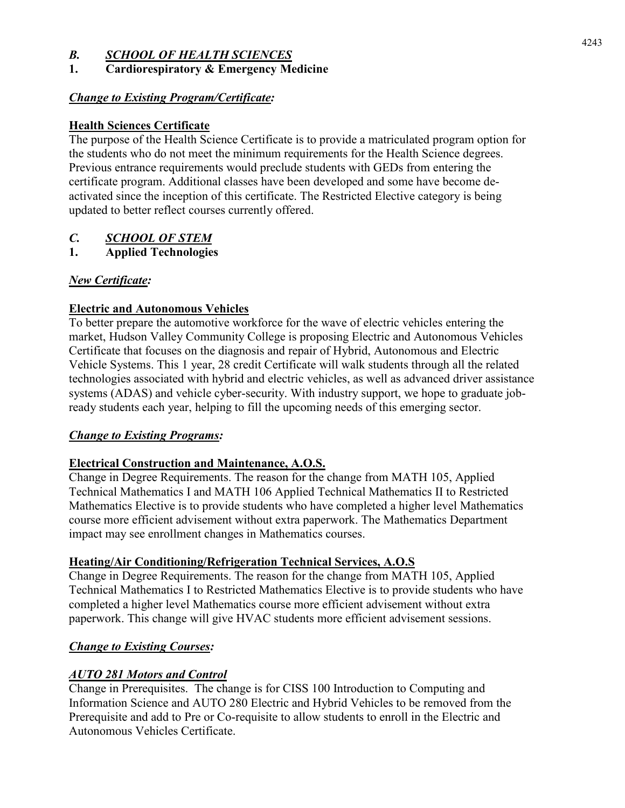### *B. SCHOOL OF HEALTH SCIENCES*

# **1. Cardiorespiratory & Emergency Medicine**

#### *Change to Existing Program/Certificate:*

#### **Health Sciences Certificate**

The purpose of the Health Science Certificate is to provide a matriculated program option for the students who do not meet the minimum requirements for the Health Science degrees. Previous entrance requirements would preclude students with GEDs from entering the certificate program. Additional classes have been developed and some have become deactivated since the inception of this certificate. The Restricted Elective category is being updated to better reflect courses currently offered.

# *C. SCHOOL OF STEM*

**1. Applied Technologies**

### *New Certificate:*

#### **Electric and Autonomous Vehicles**

To better prepare the automotive workforce for the wave of electric vehicles entering the market, Hudson Valley Community College is proposing Electric and Autonomous Vehicles Certificate that focuses on the diagnosis and repair of Hybrid, Autonomous and Electric Vehicle Systems. This 1 year, 28 credit Certificate will walk students through all the related technologies associated with hybrid and electric vehicles, as well as advanced driver assistance systems (ADAS) and vehicle cyber-security. With industry support, we hope to graduate jobready students each year, helping to fill the upcoming needs of this emerging sector.

#### *Change to Existing Programs:*

#### **Electrical Construction and Maintenance, A.O.S.**

Change in Degree Requirements. The reason for the change from MATH 105, Applied Technical Mathematics I and MATH 106 Applied Technical Mathematics II to Restricted Mathematics Elective is to provide students who have completed a higher level Mathematics course more efficient advisement without extra paperwork. The Mathematics Department impact may see enrollment changes in Mathematics courses.

#### **Heating/Air Conditioning/Refrigeration Technical Services, A.O.S**

Change in Degree Requirements. The reason for the change from MATH 105, Applied Technical Mathematics I to Restricted Mathematics Elective is to provide students who have completed a higher level Mathematics course more efficient advisement without extra paperwork. This change will give HVAC students more efficient advisement sessions.

#### *Change to Existing Courses:*

#### *AUTO 281 Motors and Control*

Change in Prerequisites. The change is for CISS 100 Introduction to Computing and Information Science and AUTO 280 Electric and Hybrid Vehicles to be removed from the Prerequisite and add to Pre or Co-requisite to allow students to enroll in the Electric and Autonomous Vehicles Certificate.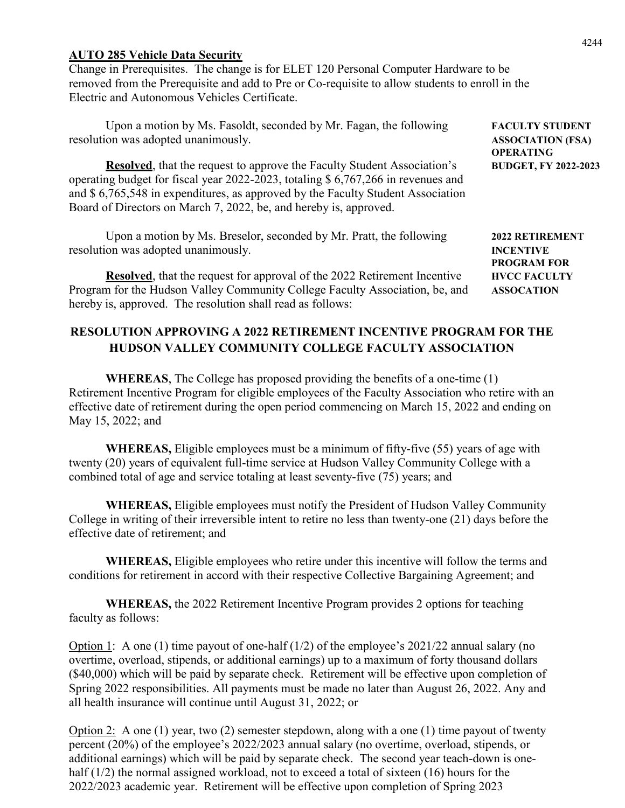#### **AUTO 285 Vehicle Data Security**

Change in Prerequisites. The change is for ELET 120 Personal Computer Hardware to be removed from the Prerequisite and add to Pre or Co-requisite to allow students to enroll in the Electric and Autonomous Vehicles Certificate.

Upon a motion by Ms. Fasoldt, seconded by Mr. Fagan, the following **FACULTY STUDENT** resolution was adopted unanimously. **ASSOCIATION (FSA)**

**Resolved**, that the request to approve the Faculty Student Association's **BUDGET, FY 2022-2023** operating budget for fiscal year 2022-2023, totaling \$ 6,767,266 in revenues and and \$ 6,765,548 in expenditures, as approved by the Faculty Student Association Board of Directors on March 7, 2022, be, and hereby is, approved.

Upon a motion by Ms. Breselor, seconded by Mr. Pratt, the following **2022 RETIREMENT** resolution was adopted unanimously. **INCENTIVE** 

**Resolved**, that the request for approval of the 2022 Retirement Incentive **HVCC FACULTY** Program for the Hudson Valley Community College Faculty Association, be, and **ASSOCATION** hereby is, approved. The resolution shall read as follows:

#### **RESOLUTION APPROVING A 2022 RETIREMENT INCENTIVE PROGRAM FOR THE HUDSON VALLEY COMMUNITY COLLEGE FACULTY ASSOCIATION**

**WHEREAS**, The College has proposed providing the benefits of a one-time (1) Retirement Incentive Program for eligible employees of the Faculty Association who retire with an effective date of retirement during the open period commencing on March 15, 2022 and ending on May 15, 2022; and

**WHEREAS,** Eligible employees must be a minimum of fifty-five (55) years of age with twenty (20) years of equivalent full-time service at Hudson Valley Community College with a combined total of age and service totaling at least seventy-five (75) years; and

**WHEREAS,** Eligible employees must notify the President of Hudson Valley Community College in writing of their irreversible intent to retire no less than twenty-one (21) days before the effective date of retirement; and

**WHEREAS,** Eligible employees who retire under this incentive will follow the terms and conditions for retirement in accord with their respective Collective Bargaining Agreement; and

**WHEREAS,** the 2022 Retirement Incentive Program provides 2 options for teaching faculty as follows:

Option 1: A one (1) time payout of one-half  $(1/2)$  of the employee's 2021/22 annual salary (no overtime, overload, stipends, or additional earnings) up to a maximum of forty thousand dollars (\$40,000) which will be paid by separate check. Retirement will be effective upon completion of Spring 2022 responsibilities. All payments must be made no later than August 26, 2022. Any and all health insurance will continue until August 31, 2022; or

Option 2: A one (1) year, two (2) semester stepdown, along with a one (1) time payout of twenty percent (20%) of the employee's 2022/2023 annual salary (no overtime, overload, stipends, or additional earnings) which will be paid by separate check. The second year teach-down is onehalf  $(1/2)$  the normal assigned workload, not to exceed a total of sixteen  $(16)$  hours for the 2022/2023 academic year. Retirement will be effective upon completion of Spring 2023

**OPERATING**

**PROGRAM FOR**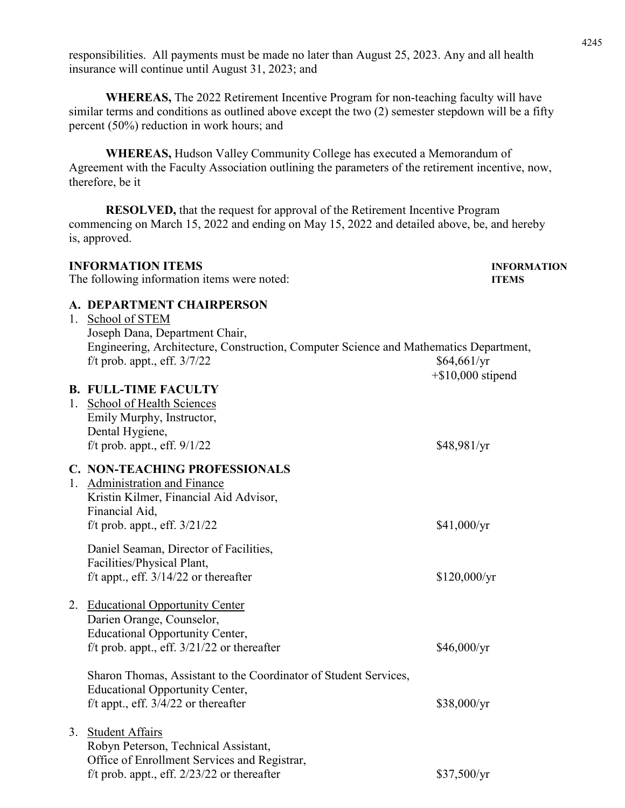responsibilities. All payments must be made no later than August 25, 2023. Any and all health insurance will continue until August 31, 2023; and

**WHEREAS,** The 2022 Retirement Incentive Program for non-teaching faculty will have similar terms and conditions as outlined above except the two (2) semester stepdown will be a fifty percent (50%) reduction in work hours; and

**WHEREAS,** Hudson Valley Community College has executed a Memorandum of Agreement with the Faculty Association outlining the parameters of the retirement incentive, now, therefore, be it

**RESOLVED,** that the request for approval of the Retirement Incentive Program commencing on March 15, 2022 and ending on May 15, 2022 and detailed above, be, and hereby is, approved.

| <b>INFORMATION ITEMS</b><br>The following information items were noted:                                                                                                                                       | <b>INFORMATION</b><br><b>ITEMS</b>  |
|---------------------------------------------------------------------------------------------------------------------------------------------------------------------------------------------------------------|-------------------------------------|
| A. DEPARTMENT CHAIRPERSON<br>1. School of STEM<br>Joseph Dana, Department Chair,<br>Engineering, Architecture, Construction, Computer Science and Mathematics Department,<br>$f/t$ prob. appt., eff. $3/7/22$ | \$64,661/yr<br>$+$ \$10,000 stipend |
| <b>B. FULL-TIME FACULTY</b><br>1. School of Health Sciences<br>Emily Murphy, Instructor,<br>Dental Hygiene,<br>f/t prob. appt., eff. $9/1/22$                                                                 | \$48,981/yr                         |
| <b>C. NON-TEACHING PROFESSIONALS</b><br>1. Administration and Finance<br>Kristin Kilmer, Financial Aid Advisor,<br>Financial Aid,<br>f/t prob. appt., eff. $3/21/22$                                          | \$41,000/yr                         |
| Daniel Seaman, Director of Facilities,<br>Facilities/Physical Plant,<br>f/t appt., eff. $3/14/22$ or thereafter                                                                                               | \$120,000/yr                        |
| 2. Educational Opportunity Center<br>Darien Orange, Counselor,<br><b>Educational Opportunity Center,</b><br>f/t prob. appt., eff. $3/21/22$ or thereafter                                                     | \$46,000/yr                         |
| Sharon Thomas, Assistant to the Coordinator of Student Services,<br><b>Educational Opportunity Center,</b><br>f/t appt., eff. $3/4/22$ or thereafter                                                          | \$38,000/yr                         |
| 3. Student Affairs<br>Robyn Peterson, Technical Assistant,<br>Office of Enrollment Services and Registrar,<br>f/t prob. appt., eff. $2/23/22$ or thereafter                                                   | \$37,500/yr                         |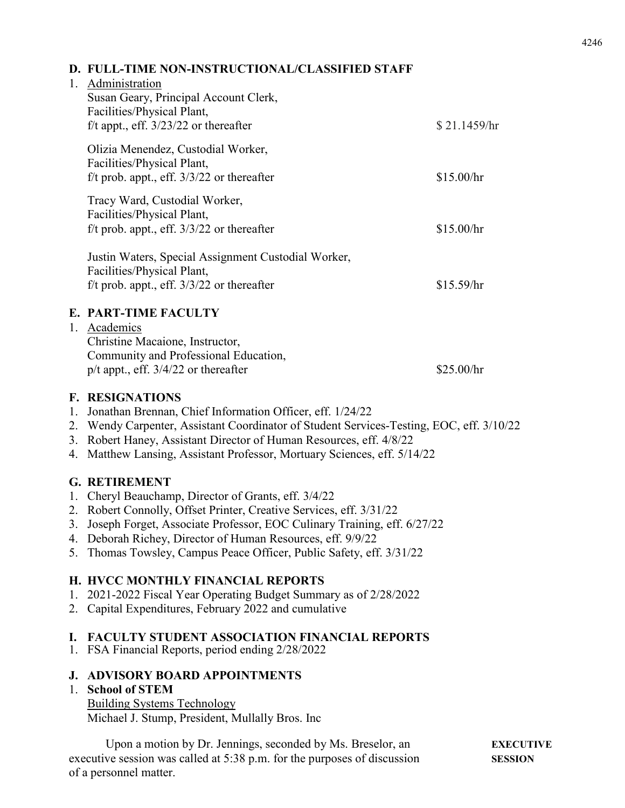#### **D. FULL-TIME NON-INSTRUCTIONAL/CLASSIFIED STAFF**

# 1. Administration Susan Geary, Principal Account Clerk, Facilities/Physical Plant, f/t appt., eff.  $3/23/22$  or thereafter  $$ 21.1459/hr$ Olizia Menendez, Custodial Worker, Facilities/Physical Plant, f/t prob. appt., eff.  $3/3/22$  or thereafter  $$15.00/hr$ Tracy Ward, Custodial Worker, Facilities/Physical Plant,  $f/t$  prob. appt., eff.  $3/3/22$  or thereafter \$15.00/hr Justin Waters, Special Assignment Custodial Worker, Facilities/Physical Plant, f/t prob. appt., eff.  $3/3/22$  or thereafter \$15.59/hr **E. PART-TIME FACULTY** 1. Academics Christine Macaione, Instructor, Community and Professional Education,  $p/t$  appt., eff.  $3/4/22$  or thereafter \$25.00/hr

#### **F. RESIGNATIONS**

- 1. Jonathan Brennan, Chief Information Officer, eff. 1/24/22
- 2. Wendy Carpenter, Assistant Coordinator of Student Services-Testing, EOC, eff. 3/10/22
- 3. Robert Haney, Assistant Director of Human Resources, eff. 4/8/22
- 4. Matthew Lansing, Assistant Professor, Mortuary Sciences, eff. 5/14/22

# **G. RETIREMENT**

- 1. Cheryl Beauchamp, Director of Grants, eff. 3/4/22
- 2. Robert Connolly, Offset Printer, Creative Services, eff. 3/31/22
- 3. Joseph Forget, Associate Professor, EOC Culinary Training, eff. 6/27/22
- 4. Deborah Richey, Director of Human Resources, eff. 9/9/22
- 5. Thomas Towsley, Campus Peace Officer, Public Safety, eff. 3/31/22

# **H. HVCC MONTHLY FINANCIAL REPORTS**

- 1. 2021-2022 Fiscal Year Operating Budget Summary as of 2/28/2022
- 2. Capital Expenditures, February 2022 and cumulative

# **I. FACULTY STUDENT ASSOCIATION FINANCIAL REPORTS**

1. FSA Financial Reports, period ending 2/28/2022

# **J. ADVISORY BOARD APPOINTMENTS**

# 1. **School of STEM**

Building Systems Technology Michael J. Stump, President, Mullally Bros. Inc

Upon a motion by Dr. Jennings, seconded by Ms. Breselor, an **EXECUTIVE** executive session was called at 5:38 p.m. for the purposes of discussion **SESSION** of a personnel matter.